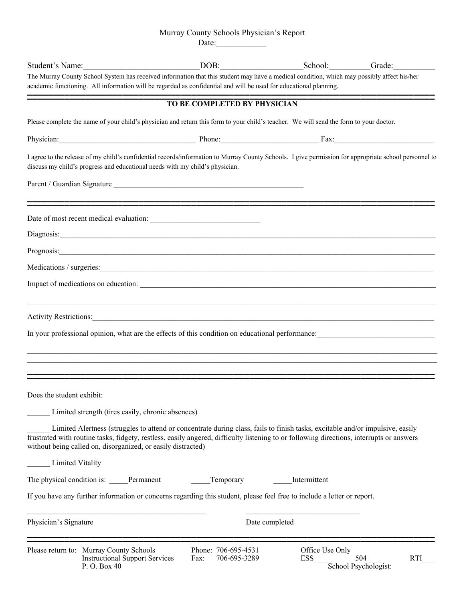## Murray County Schools Physician's Report

Date:\_\_\_\_\_\_\_\_\_\_\_\_

| Student's Name:           |                                                                                                                                                                                                                                                                                                                                           | DOB:                                        | School:                | Grade:                                    |  |
|---------------------------|-------------------------------------------------------------------------------------------------------------------------------------------------------------------------------------------------------------------------------------------------------------------------------------------------------------------------------------------|---------------------------------------------|------------------------|-------------------------------------------|--|
|                           | The Murray County School System has received information that this student may have a medical condition, which may possibly affect his/her<br>academic functioning. All information will be regarded as confidential and will be used for educational planning.                                                                           |                                             |                        |                                           |  |
|                           |                                                                                                                                                                                                                                                                                                                                           | TO BE COMPLETED BY PHYSICIAN                |                        |                                           |  |
|                           | Please complete the name of your child's physician and return this form to your child's teacher. We will send the form to your doctor.                                                                                                                                                                                                    |                                             |                        |                                           |  |
|                           | Physician: Fax: Fax:                                                                                                                                                                                                                                                                                                                      |                                             |                        |                                           |  |
|                           | I agree to the release of my child's confidential records/information to Murray County Schools. I give permission for appropriate school personnel to<br>discuss my child's progress and educational needs with my child's physician.                                                                                                     |                                             |                        |                                           |  |
|                           | Parent / Guardian Signature                                                                                                                                                                                                                                                                                                               |                                             |                        |                                           |  |
|                           |                                                                                                                                                                                                                                                                                                                                           |                                             |                        |                                           |  |
|                           |                                                                                                                                                                                                                                                                                                                                           |                                             |                        |                                           |  |
|                           | Prognosis: Note of the contract of the contract of the contract of the contract of the contract of the contract of the contract of the contract of the contract of the contract of the contract of the contract of the contrac                                                                                                            |                                             |                        |                                           |  |
|                           |                                                                                                                                                                                                                                                                                                                                           |                                             |                        |                                           |  |
|                           |                                                                                                                                                                                                                                                                                                                                           |                                             |                        |                                           |  |
|                           | Activity Restrictions: 1990 Contract to the Contract of the Contract of the Contract of the Contract of the Contract of the Contract of the Contract of the Contract of the Contract of the Contract of the Contract of the Co                                                                                                            |                                             |                        |                                           |  |
|                           | In your professional opinion, what are the effects of this condition on educational performance:                                                                                                                                                                                                                                          |                                             |                        |                                           |  |
|                           | ,我们也不能在这里的人,我们也不能在这里的人,我们也不能在这里的人,我们也不能在这里的人,我们也不能在这里的人,我们也不能在这里的人,我们也不能在这里的人,我们也                                                                                                                                                                                                                                                         |                                             |                        |                                           |  |
|                           | ,我们也不能在这里的人,我们也不能在这里的人,我们也不能在这里的人,我们也不能在这里的人,我们也不能在这里的人,我们也不能在这里的人,我们也不能在这里的人,我们也                                                                                                                                                                                                                                                         |                                             |                        |                                           |  |
| Does the student exhibit: |                                                                                                                                                                                                                                                                                                                                           |                                             |                        |                                           |  |
|                           | Limited strength (tires easily, chronic absences)                                                                                                                                                                                                                                                                                         |                                             |                        |                                           |  |
|                           | Limited Alertness (struggles to attend or concentrate during class, fails to finish tasks, excitable and/or impulsive, easily<br>frustrated with routine tasks, fidgety, restless, easily angered, difficulty listening to or following directions, interrupts or answers<br>without being called on, disorganized, or easily distracted) |                                             |                        |                                           |  |
|                           | <b>Limited Vitality</b>                                                                                                                                                                                                                                                                                                                   |                                             |                        |                                           |  |
|                           | The physical condition is: _____Permanent                                                                                                                                                                                                                                                                                                 | Temporary                                   | Intermittent           |                                           |  |
|                           | If you have any further information or concerns regarding this student, please feel free to include a letter or report.                                                                                                                                                                                                                   |                                             |                        |                                           |  |
| Physician's Signature     |                                                                                                                                                                                                                                                                                                                                           |                                             | Date completed         |                                           |  |
|                           | Please return to: Murray County Schools<br><b>Instructional Support Services</b><br>P. O. Box 40                                                                                                                                                                                                                                          | Phone: 706-695-4531<br>706-695-3289<br>Fax: | Office Use Only<br>ESS | 504<br><b>RTI</b><br>School Psychologist: |  |